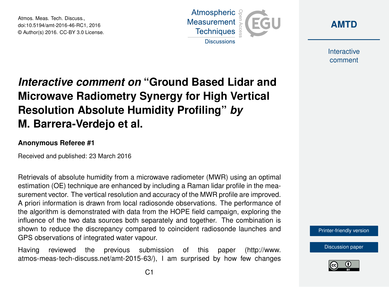Atmos. Meas. Tech. Discuss., doi:10.5194/amt-2016-46-RC1, 2016 © Author(s) 2016. CC-BY 3.0 License.





**Interactive** comment

## *Interactive comment on* **"Ground Based Lidar and Microwave Radiometry Synergy for High Vertical Resolution Absolute Humidity Profiling"** *by* **M. Barrera-Verdejo et al.**

## **Anonymous Referee #1**

Received and published: 23 March 2016

Retrievals of absolute humidity from a microwave radiometer (MWR) using an optimal estimation (OE) technique are enhanced by including a Raman lidar profile in the measurement vector. The vertical resolution and accuracy of the MWR profile are improved. A priori information is drawn from local radiosonde observations. The performance of the algorithm is demonstrated with data from the HOPE field campaign, exploring the influence of the two data sources both separately and together. The combination is shown to reduce the discrepancy compared to coincident radiosonde launches and GPS observations of integrated water vapour.

Having reviewed the previous submission of this paper [\(http://www.](http://www.atmos-meas-tech-discuss.net/amt-2015-63/) [atmos-meas-tech-discuss.net/amt-2015-63/\)](http://www.atmos-meas-tech-discuss.net/amt-2015-63/), I am surprised by how few changes



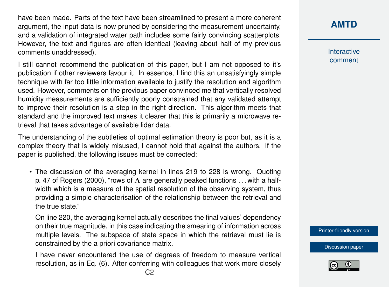have been made. Parts of the text have been streamlined to present a more coherent argument, the input data is now pruned by considering the measurement uncertainty, and a validation of integrated water path includes some fairly convincing scatterplots. However, the text and figures are often identical (leaving about half of my previous comments unaddressed).

I still cannot recommend the publication of this paper, but I am not opposed to it's publication if other reviewers favour it. In essence, I find this an unsatisfyingly simple technique with far too little information available to justify the resolution and algorithm used. However, comments on the previous paper convinced me that vertically resolved humidity measurements are sufficiently poorly constrained that any validated attempt to improve their resolution is a step in the right direction. This algorithm meets that standard and the improved text makes it clearer that this is primarily a microwave retrieval that takes advantage of available lidar data.

The understanding of the subtleties of optimal estimation theory is poor but, as it is a complex theory that is widely misused, I cannot hold that against the authors. If the paper is published, the following issues must be corrected:

• The discussion of the averaging kernel in lines 219 to 228 is wrong. Quoting p. 47 of Rogers (2000), "rows of A are generally peaked functions . . . with a halfwidth which is a measure of the spatial resolution of the observing system, thus providing a simple characterisation of the relationship between the retrieval and the true state."

On line 220, the averaging kernel actually describes the final values' dependency on their true magnitude, in this case indicating the smearing of information across multiple levels. The subspace of state space in which the retrieval must lie is constrained by the a priori covariance matrix.

I have never encountered the use of degrees of freedom to measure vertical resolution, as in Eq. (6). After conferring with colleagues that work more closely **[AMTD](http://www.atmos-meas-tech-discuss.net/)**

**Interactive** comment

[Printer-friendly version](http://www.atmos-meas-tech-discuss.net/amt-2016-46/amt-2016-46-RC1-print.pdf)

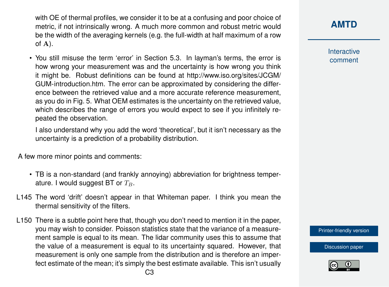with OE of thermal profiles, we consider it to be at a confusing and poor choice of metric, if not intrinsically wrong. A much more common and robust metric would be the width of the averaging kernels (e.g. the full-width at half maximum of a row of  $A$ ).

• You still misuse the term 'error' in Section 5.3. In layman's terms, the error is how wrong your measurement was and the uncertainty is how wrong you think it might be. Robust definitions can be found at [http://www.iso.org/sites/JCGM/](http://www.iso.org/sites/JCGM/GUM-introduction.htm) [GUM-introduction.htm.](http://www.iso.org/sites/JCGM/GUM-introduction.htm) The error can be approximated by considering the difference between the retrieved value and a more accurate reference measurement, as you do in Fig. 5. What OEM estimates is the uncertainty on the retrieved value, which describes the range of errors you would expect to see if you infinitely repeated the observation.

I also understand why you add the word 'theoretical', but it isn't necessary as the uncertainty is a prediction of a probability distribution.

A few more minor points and comments:

- TB is a non-standard (and frankly annoying) abbreviation for brightness temperature. I would suggest BT or  $T_B$ .
- L145 The word 'drift' doesn't appear in that Whiteman paper. I think you mean the thermal sensitivity of the filters.
- L150 There is a subtle point here that, though you don't need to mention it in the paper, you may wish to consider. Poisson statistics state that the variance of a measurement sample is equal to its mean. The lidar community uses this to assume that the value of a measurement is equal to its uncertainty squared. However, that measurement is only one sample from the distribution and is therefore an imperfect estimate of the mean; it's simply the best estimate available. This isn't usually

Interactive comment

[Printer-friendly version](http://www.atmos-meas-tech-discuss.net/amt-2016-46/amt-2016-46-RC1-print.pdf)

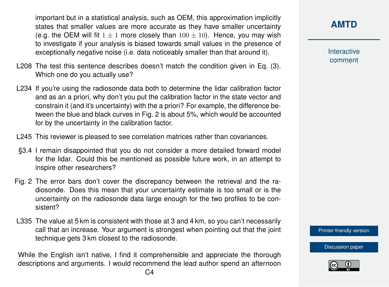important but in a statistical analysis, such as OEM, this approximation implicitly states that smaller values are more accurate as they have smaller uncertainty (e.g. the OEM will fit  $1 \pm 1$  more closely than  $100 \pm 10$ ). Hence, you may wish to investigate if your analysis is biased towards small values in the presence of exceptionally negative noise (i.e. data noticeably smaller than that around it).

- L208 The test this sentence describes doesn't match the condition given in Eq. (3). Which one do you actually use?
- L234 If you're using the radiosonde data both to determine the lidar calibration factor and as an a priori, why don't you put the calibration factor in the state vector and constrain it (and it's uncertainty) with the a priori? For example, the difference between the blue and black curves in Fig. 2 is about 5%, which would be accounted for by the uncertainty in the calibration factor.
- L245 This reviewer is pleased to see correlation matrices rather than covariances.
- §3.4 I remain disappointed that you do not consider a more detailed forward model for the lidar. Could this be mentioned as possible future work, in an attempt to inspire other researchers?
- Fig. 2 The error bars don't cover the discrepancy between the retrieval and the radiosonde. Does this mean that your uncertainty estimate is too small or is the uncertainty on the radiosonde data large enough for the two profiles to be consistent?
- L335 The value at 5 km is consistent with those at 3 and 4 km, so you can't necessarily call that an increase. Your argument is strongest when pointing out that the joint technique gets 3 km closest to the radiosonde.

While the English isn't native, I find it comprehensible and appreciate the thorough descriptions and arguments. I would recommend the lead author spend an afternoon **Interactive** comment

[Printer-friendly version](http://www.atmos-meas-tech-discuss.net/amt-2016-46/amt-2016-46-RC1-print.pdf)

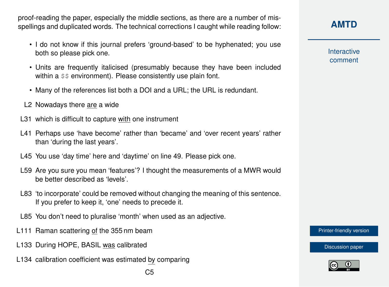proof-reading the paper, especially the middle sections, as there are a number of misspellings and duplicated words. The technical corrections I caught while reading follow:

- I do not know if this journal prefers 'ground-based' to be hyphenated; you use both so please pick one.
- Units are frequently italicised (presumably because they have been included within a  $$$  s environment). Please consistently use plain font.
- Many of the references list both a DOI and a URL; the URL is redundant.
- L2 Nowadays there are a wide
- L31 which is difficult to capture with one instrument
- L41 Perhaps use 'have become' rather than 'became' and 'over recent years' rather than 'during the last years'.
- L45 You use 'day time' here and 'daytime' on line 49. Please pick one.
- L59 Are you sure you mean 'features'? I thought the measurements of a MWR would be better described as 'levels'.
- L83 'to incorporate' could be removed without changing the meaning of this sentence. If you prefer to keep it, 'one' needs to precede it.
- L85 You don't need to pluralise 'month' when used as an adjective.
- L111 Raman scattering of the 355 nm beam
- L133 During HOPE, BASIL was calibrated
- L134 calibration coefficient was estimated by comparing

## **[AMTD](http://www.atmos-meas-tech-discuss.net/)**

**Interactive** comment

[Printer-friendly version](http://www.atmos-meas-tech-discuss.net/amt-2016-46/amt-2016-46-RC1-print.pdf)

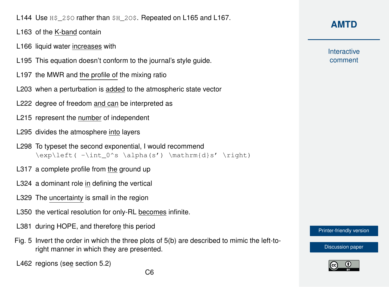L144 Use H\$ 2\$0 rather than \$H\_2O\$. Repeated on L165 and L167.

- L163 of the K-band contain
- L166 liquid water increases with
- L195 This equation doesn't conform to the journal's style guide.
- L197 the MWR and the profile of the mixing ratio
- L203 when a perturbation is added to the atmospheric state vector
- L222 degree of freedom and can be interpreted as
- L215 represent the number of independent
- L295 divides the atmosphere into layers
- L298 To typeset the second exponential, I would recommend  $\exp\left(-\int 0^s \alpha(s') \mathrm{d}s' \right)$
- L317 a complete profile from the ground up
- L324 a dominant role in defining the vertical
- L329 The uncertainty is small in the region
- L350 the vertical resolution for only-RL becomes infinite.
- L381 during HOPE, and therefore this period
- Fig. 5 Invert the order in which the three plots of 5(b) are described to mimic the left-toright manner in which they are presented.
- L462 regions (see section 5.2)

**Interactive** comment

[Printer-friendly version](http://www.atmos-meas-tech-discuss.net/amt-2016-46/amt-2016-46-RC1-print.pdf)